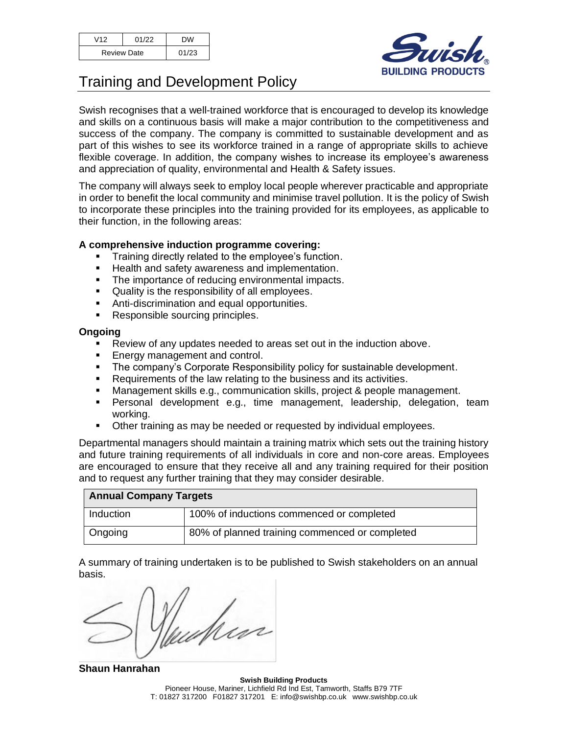| V12                | 01/22 | <b>DW</b> |
|--------------------|-------|-----------|
| <b>Review Date</b> |       | 01/23     |



## Training and Development Policy

Swish recognises that a well-trained workforce that is encouraged to develop its knowledge and skills on a continuous basis will make a major contribution to the competitiveness and success of the company. The company is committed to sustainable development and as part of this wishes to see its workforce trained in a range of appropriate skills to achieve flexible coverage. In addition, the company wishes to increase its employee's awareness and appreciation of quality, environmental and Health & Safety issues.

The company will always seek to employ local people wherever practicable and appropriate in order to benefit the local community and minimise travel pollution. It is the policy of Swish to incorporate these principles into the training provided for its employees, as applicable to their function, in the following areas:

## **A comprehensive induction programme covering:**

- Training directly related to the employee's function.
- Health and safety awareness and implementation.
- The importance of reducing environmental impacts.
- Quality is the responsibility of all employees.
- Anti-discrimination and equal opportunities.
- Responsible sourcing principles.

## **Ongoing**

- Review of any updates needed to areas set out in the induction above.
- Energy management and control.
- **•** The company's Corporate Responsibility policy for sustainable development.
- Requirements of the law relating to the business and its activities.
- Management skills e.g., communication skills, project & people management.
- Personal development e.g., time management, leadership, delegation, team working.
- Other training as may be needed or requested by individual employees.

Departmental managers should maintain a training matrix which sets out the training history and future training requirements of all individuals in core and non-core areas. Employees are encouraged to ensure that they receive all and any training required for their position and to request any further training that they may consider desirable.

| <b>Annual Company Targets</b> |                                                |  |
|-------------------------------|------------------------------------------------|--|
| Induction                     | 100% of inductions commenced or completed      |  |
| l Ongoing                     | 80% of planned training commenced or completed |  |

A summary of training undertaken is to be published to Swish stakeholders on an annual basis.

Mess

**Shaun Hanrahan**

**Swish Building Products** Pioneer House, Mariner, Lichfield Rd Ind Est, Tamworth, Staffs B79 7TF T: 01827 317200 F01827 317201 E: info@swishbp.co.uk www.swishbp.co.uk